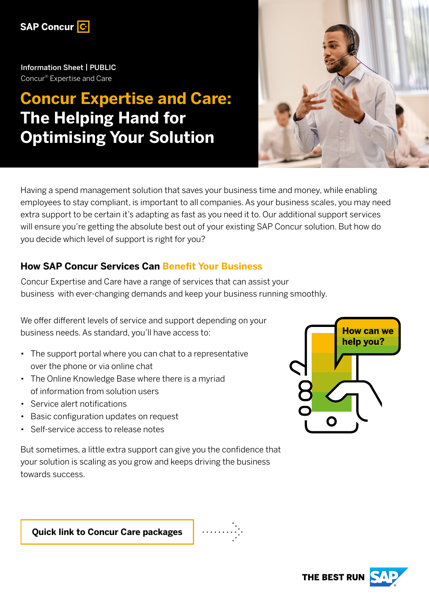

Information Sheet | PUBLIC Concur® Expertise and Care

# **Concur Expertise and Care: The Helping Hand for Optimising Your Solution**



Having a spend management solution that saves your business time and money, while enabling employees to stay compliant, is important to all companies. As your business scales, you may need extra support to be certain it's adapting as fast as you need it to. Our additional support services will ensure you're getting the absolute best out of your existing SAP Concur solution. But how do you decide which level of support is right for you?

## **How SAP Concur Services Can Benefit Your Business**

Concur Expertise and Care have a range of services that can assist your business with ever-changing demands and keep your business running smoothly.

We offer different levels of service and support depending on your business needs. As standard, you'll have access to:

- The support portal where you can chat to a representative over the phone or via online chat
- The Online Knowledge Base where there is a myriad of information from solution users
- Service alert notifications
- Basic configuration updates on request
- Self-service access to release notes

But sometimes, a little extra support can give you the confidence that your solution is scaling as you grow and keeps driving the business towards success.



**[Quick link to Concur Care packages](#page-2-0)**

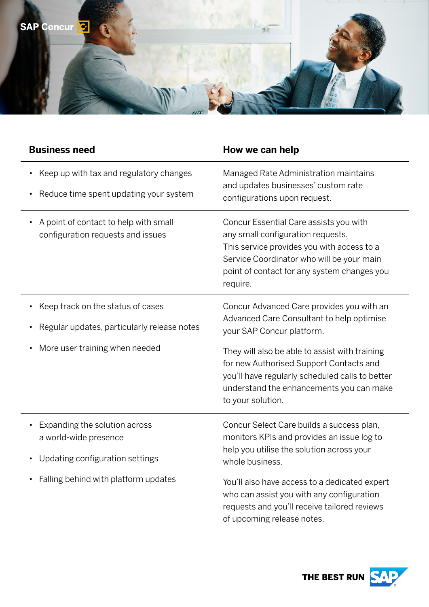

| <b>Business need</b>                                                                                                              | How we can help                                                                                                                                                                                                                                                                                                                      |
|-----------------------------------------------------------------------------------------------------------------------------------|--------------------------------------------------------------------------------------------------------------------------------------------------------------------------------------------------------------------------------------------------------------------------------------------------------------------------------------|
| Keep up with tax and regulatory changes<br>Reduce time spent updating your system<br>$\bullet$                                    | Managed Rate Administration maintains<br>and updates businesses' custom rate<br>configurations upon request.                                                                                                                                                                                                                         |
| A point of contact to help with small<br>configuration requests and issues                                                        | Concur Essential Care assists you with<br>any small configuration requests.<br>This service provides you with access to a<br>Service Coordinator who will be your main<br>point of contact for any system changes you<br>require.                                                                                                    |
| Keep track on the status of cases<br>Regular updates, particularly release notes<br>More user training when needed                | Concur Advanced Care provides you with an<br>Advanced Care Consultant to help optimise<br>your SAP Concur platform.<br>They will also be able to assist with training<br>for new Authorised Support Contacts and<br>you'll have regularly scheduled calls to better<br>understand the enhancements you can make<br>to your solution. |
| Expanding the solution across<br>a world-wide presence<br>Updating configuration settings<br>Falling behind with platform updates | Concur Select Care builds a success plan,<br>monitors KPIs and provides an issue log to<br>help you utilise the solution across your<br>whole business.<br>You'll also have access to a dedicated expert<br>who can assist you with any configuration<br>requests and you'll receive tailored reviews<br>of upcoming release notes.  |

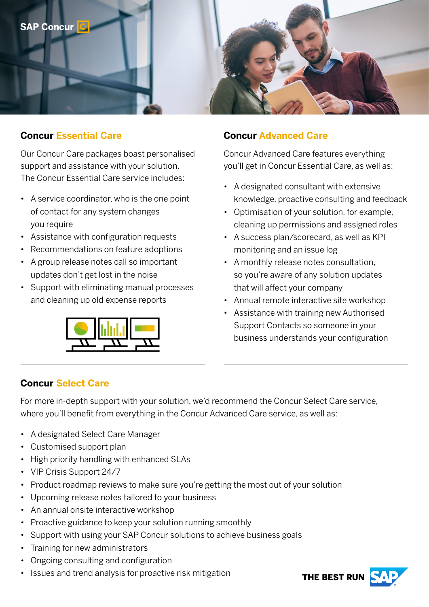

#### <span id="page-2-0"></span>**Concur Essential Care**

Our Concur Care packages boast personalised support and assistance with your solution. The Concur Essential Care service includes:

- A service coordinator, who is the one point of contact for any system changes you require
- Assistance with configuration requests
- Recommendations on feature adoptions
- A group release notes call so important updates don't get lost in the noise
- Support with eliminating manual processes and cleaning up old expense reports



#### **Concur Advanced Care**

Concur Advanced Care features everything you'll get in Concur Essential Care, as well as:

- A designated consultant with extensive knowledge, proactive consulting and feedback
- Optimisation of your solution, for example, cleaning up permissions and assigned roles
- A success plan/scorecard, as well as KPI monitoring and an issue log
- A monthly release notes consultation, so you're aware of any solution updates that will affect your company
- Annual remote interactive site workshop
- Assistance with training new Authorised Support Contacts so someone in your business understands your configuration

#### **Concur Select Care**

For more in-depth support with your solution, we'd recommend the Concur Select Care service, where you'll benefit from everything in the Concur Advanced Care service, as well as:

- A designated Select Care Manager
- Customised support plan
- High priority handling with enhanced SLAs
- VIP Crisis Support 24/7
- Product roadmap reviews to make sure you're getting the most out of your solution
- Upcoming release notes tailored to your business
- An annual onsite interactive workshop
- Proactive guidance to keep your solution running smoothly
- Support with using your SAP Concur solutions to achieve business goals
- Training for new administrators
- Ongoing consulting and configuration
- Issues and trend analysis for proactive risk mitigation